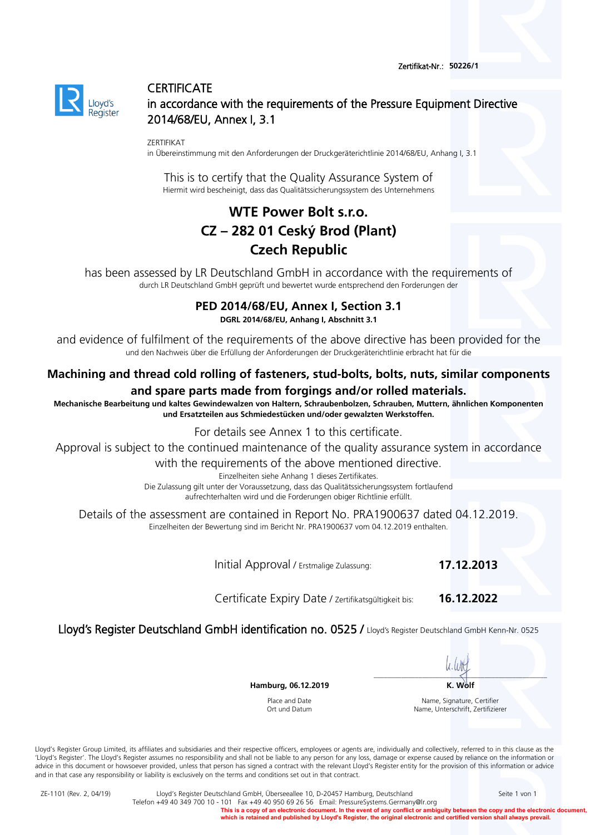

## **CERTIFICATE** in accordance with the requirements of the Pressure Equipment Directive 2014/68/EU, Annex I, 3.1

ZERTIFIKAT

in Übereinstimmung mit den Anforderungen der Druckgeräterichtlinie 2014/68/EU, Anhang I, 3.1

This is to certify that the Quality Assurance System of Hiermit wird bescheinigt, dass das Qualitätssicherungssystem des Unternehmens

# **WTE Power Bolt s.r.o. CZ – 282 01 Ceský Brod (Plant) Czech Republic**

has been assessed by LR Deutschland GmbH in accordance with the requirements of durch LR Deutschland GmbH geprüft und bewertet wurde entsprechend den Forderungen der

#### **PED 2014/68/EU, Annex I, Section 3.1 DGRL 2014/68/EU, Anhang I, Abschnitt 3.1**

and evidence of fulfilment of the requirements of the above directive has been provided for the und den Nachweis über die Erfüllung der Anforderungen der Druckgeräterichtlinie erbracht hat für die

### **Machining and thread cold rolling of fasteners, stud-bolts, bolts, nuts, similar components and spare parts made from forgings and/or rolled materials.**

**Mechanische Bearbeitung und kaltes Gewindewalzen von Haltern, Schraubenbolzen, Schrauben, Muttern, ähnlichen Komponenten und Ersatzteilen aus Schmiedestücken und/oder gewalzten Werkstoffen.** 

For details see Annex 1 to this certificate.

Approval is subject to the continued maintenance of the quality assurance system in accordance

with the requirements of the above mentioned directive.<br>Einzelheiten siehe Anhang 1 dieses Zertifikates.

Die Zulassung gilt unter der Voraussetzung, dass das Qualitätssicherungssystem fortlaufend aufrechterhalten wird und die Forderungen obiger Richtlinie erfüllt.

Details of the assessment are contained in Report No. PRA1900637 dated 04.12.2019. Einzelheiten der Bewertung sind im Bericht Nr. PRA1900637 vom 04.12.2019 enthalten.

Initial Approval / Erstmalige Zulassung: **17.12.2013**

Certificate Expiry Date / Zertifikatsgültigkeit bis: **16.12.2022**

Lloyd's Register Deutschland GmbH identification no. 0525 / Lloyd's Register Deutschland GmbH Kenn-Nr. 0525

\_\_\_\_\_\_\_\_\_\_\_\_\_\_\_\_\_\_\_\_\_\_\_\_\_\_\_\_\_\_\_\_\_\_\_\_\_\_\_\_\_\_\_\_\_\_\_\_\_\_

**Hamburg, 06.12.2019** K. Wolf

Place and Date Ort und Datum

Name, Signature, Certifier Name, Unterschrift, Zertifizierer

Lloyd's Register Group Limited, its affiliates and subsidiaries and their respective officers, employees or agents are, individually and collectively, referred to in this clause as the 'Lloyd's Register'. The Lloyd's Register assumes no responsibility and shall not be liable to any person for any loss, damage or expense caused by reliance on the information or advice in this document or howsoever provided, unless that person has signed a contract with the relevant Lloyd's Register entity for the provision of this information or advice and in that case any responsibility or liability is exclusively on the terms and conditions set out in that contract.